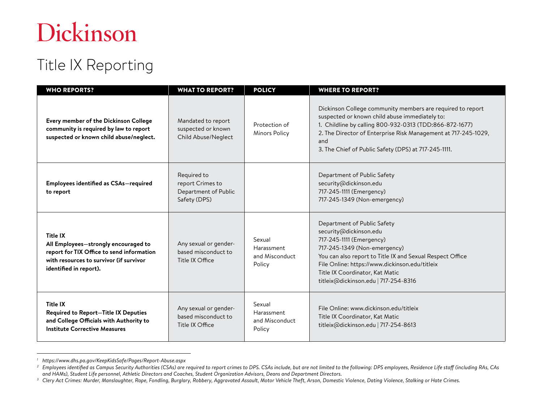# Dickinson

### Title IX Reporting

| <b>WHO REPORTS?</b>                                                                                                                                                       | <b>WHAT TO REPORT?</b>                                                  | <b>POLICY</b>                                    | <b>WHERE TO REPORT?</b>                                                                                                                                                                                                                                                                                     |
|---------------------------------------------------------------------------------------------------------------------------------------------------------------------------|-------------------------------------------------------------------------|--------------------------------------------------|-------------------------------------------------------------------------------------------------------------------------------------------------------------------------------------------------------------------------------------------------------------------------------------------------------------|
| Every member of the Dickinson College<br>community is required by law to report<br>suspected or known child abuse/neglect.                                                | Mandated to report<br>suspected or known<br>Child Abuse/Neglect         | Protection of<br><b>Minors Policy</b>            | Dickinson College community members are required to report<br>suspected or known child abuse immediately to:<br>1. Childline by calling 800-932-0313 (TDD:866-872-1677)<br>2. The Director of Enterprise Risk Management at 717-245-1029,<br>and<br>3. The Chief of Public Safety (DPS) at 717-245-1111.    |
| <b>Employees identified as CSAs-required</b><br>to report                                                                                                                 | Required to<br>report Crimes to<br>Department of Public<br>Safety (DPS) |                                                  | Department of Public Safety<br>security@dickinson.edu<br>717-245-1111 (Emergency)<br>717-245-1349 (Non-emergency)                                                                                                                                                                                           |
| <b>Title IX</b><br>All Employees-strongly encouraged to<br>report for TIX Office to send information<br>with resources to survivor (if survivor<br>identified in report). | Any sexual or gender-<br>based misconduct to<br>Title IX Office         | Sexual<br>Harassment<br>and Misconduct<br>Policy | Department of Public Safety<br>security@dickinson.edu<br>717-245-1111 (Emergency)<br>717-245-1349 (Non-emergency)<br>You can also report to Title IX and Sexual Respect Office<br>File Online: https://www.dickinson.edu/titleix<br>Title IX Coordinator, Kat Matic<br>titleix@dickinson.edu   717-254-8316 |
| <b>Title IX</b><br><b>Required to Report-Title IX Deputies</b><br>and College Officials with Authority to<br><b>Institute Corrective Measures</b>                         | Any sexual or gender-<br>based misconduct to<br>Title IX Office         | Sexual<br>Harassment<br>and Misconduct<br>Policy | File Online: www.dickinson.edu/titleix<br>Title IX Coordinator, Kat Matic<br>titleix@dickinson.edu   717-254-8613                                                                                                                                                                                           |

<sup>&</sup>lt;sup>1</sup> https://www.dhs.pa.gov/KeepKidsSafe/Pages/Report-Abuse.aspx<br><sup>2</sup> Employees identified as Campus Security Authorities (CSAs) are required to report crimes to DPS. CSAs include, but are not limited to the following: DPS e *and HAMs), Student Life personnel, Athletic Directors and Coaches, Student Organization Advisors, Deans and Department Directors.*

*<sup>3</sup> Clery Act Crimes: Murder, Manslaughter, Rape, Fondling, Burglary, Robbery, Aggravated Assault, Motor Vehicle Theft, Arson, Domestic Violence, Dating Violence, Stalking or Hate Crimes.*